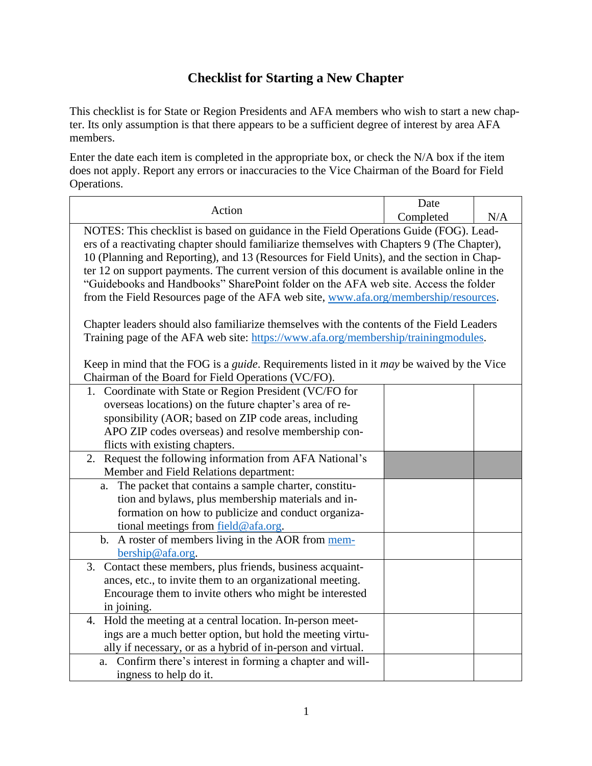## **Checklist for Starting a New Chapter**

This checklist is for State or Region Presidents and AFA members who wish to start a new chapter. Its only assumption is that there appears to be a sufficient degree of interest by area AFA members.

Enter the date each item is completed in the appropriate box, or check the N/A box if the item does not apply. Report any errors or inaccuracies to the Vice Chairman of the Board for Field Operations.

| Action                                                                                                         | Date      |     |  |  |
|----------------------------------------------------------------------------------------------------------------|-----------|-----|--|--|
|                                                                                                                | Completed | N/A |  |  |
| NOTES: This checklist is based on guidance in the Field Operations Guide (FOG). Lead-                          |           |     |  |  |
| ers of a reactivating chapter should familiarize themselves with Chapters 9 (The Chapter),                     |           |     |  |  |
| 10 (Planning and Reporting), and 13 (Resources for Field Units), and the section in Chap-                      |           |     |  |  |
| ter 12 on support payments. The current version of this document is available online in the                    |           |     |  |  |
| "Guidebooks and Handbooks" SharePoint folder on the AFA web site. Access the folder                            |           |     |  |  |
| from the Field Resources page of the AFA web site, www.afa.org/membership/resources.                           |           |     |  |  |
|                                                                                                                |           |     |  |  |
| Chapter leaders should also familiarize themselves with the contents of the Field Leaders                      |           |     |  |  |
| Training page of the AFA web site: https://www.afa.org/membership/trainingmodules.                             |           |     |  |  |
|                                                                                                                |           |     |  |  |
| Keep in mind that the FOG is a <i>guide</i> . Requirements listed in it <i>may</i> be waived by the Vice       |           |     |  |  |
| Chairman of the Board for Field Operations (VC/FO).<br>1. Coordinate with State or Region President (VC/FO for |           |     |  |  |
| overseas locations) on the future chapter's area of re-                                                        |           |     |  |  |
| sponsibility (AOR; based on ZIP code areas, including                                                          |           |     |  |  |
| APO ZIP codes overseas) and resolve membership con-                                                            |           |     |  |  |
| flicts with existing chapters.                                                                                 |           |     |  |  |
| 2. Request the following information from AFA National's                                                       |           |     |  |  |
| Member and Field Relations department:                                                                         |           |     |  |  |
| The packet that contains a sample charter, constitu-<br>a.                                                     |           |     |  |  |
| tion and bylaws, plus membership materials and in-                                                             |           |     |  |  |
| formation on how to publicize and conduct organiza-                                                            |           |     |  |  |
| tional meetings from field@afa.org.                                                                            |           |     |  |  |
| b. A roster of members living in the AOR from mem-                                                             |           |     |  |  |
| bership@afa.org.                                                                                               |           |     |  |  |
| Contact these members, plus friends, business acquaint-<br>3.                                                  |           |     |  |  |
| ances, etc., to invite them to an organizational meeting.                                                      |           |     |  |  |
| Encourage them to invite others who might be interested                                                        |           |     |  |  |
| in joining.                                                                                                    |           |     |  |  |
| 4. Hold the meeting at a central location. In-person meet-                                                     |           |     |  |  |
| ings are a much better option, but hold the meeting virtu-                                                     |           |     |  |  |
| ally if necessary, or as a hybrid of in-person and virtual.                                                    |           |     |  |  |
| a. Confirm there's interest in forming a chapter and will-                                                     |           |     |  |  |
| ingness to help do it.                                                                                         |           |     |  |  |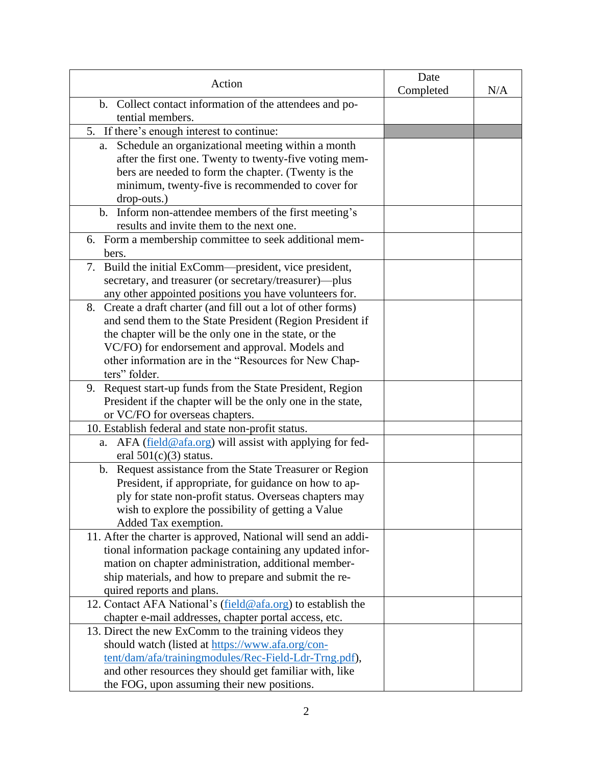| Action                                                                  | Date<br>Completed | N/A |
|-------------------------------------------------------------------------|-------------------|-----|
| b. Collect contact information of the attendees and po-                 |                   |     |
| tential members.                                                        |                   |     |
| 5. If there's enough interest to continue:                              |                   |     |
| Schedule an organizational meeting within a month<br>a.                 |                   |     |
| after the first one. Twenty to twenty-five voting mem-                  |                   |     |
| bers are needed to form the chapter. (Twenty is the                     |                   |     |
| minimum, twenty-five is recommended to cover for                        |                   |     |
| drop-outs.)                                                             |                   |     |
| b. Inform non-attendee members of the first meeting's                   |                   |     |
| results and invite them to the next one.                                |                   |     |
| 6. Form a membership committee to seek additional mem-                  |                   |     |
| bers.                                                                   |                   |     |
| 7. Build the initial ExComm—president, vice president,                  |                   |     |
| secretary, and treasurer (or secretary/treasurer)--- plus               |                   |     |
| any other appointed positions you have volunteers for.                  |                   |     |
| Create a draft charter (and fill out a lot of other forms)<br>8.        |                   |     |
| and send them to the State President (Region President if               |                   |     |
| the chapter will be the only one in the state, or the                   |                   |     |
| VC/FO) for endorsement and approval. Models and                         |                   |     |
| other information are in the "Resources for New Chap-                   |                   |     |
| ters" folder.                                                           |                   |     |
| Request start-up funds from the State President, Region<br>9.           |                   |     |
| President if the chapter will be the only one in the state,             |                   |     |
| or VC/FO for overseas chapters.                                         |                   |     |
| 10. Establish federal and state non-profit status.                      |                   |     |
| AFA (field@afa.org) will assist with applying for fed-<br>a.            |                   |     |
| eral $501(c)(3)$ status.                                                |                   |     |
| Request assistance from the State Treasurer or Region<br>$\mathbf{b}$ . |                   |     |
| President, if appropriate, for guidance on how to ap-                   |                   |     |
| ply for state non-profit status. Overseas chapters may                  |                   |     |
| wish to explore the possibility of getting a Value                      |                   |     |
| Added Tax exemption.                                                    |                   |     |
| 11. After the charter is approved, National will send an addi-          |                   |     |
| tional information package containing any updated infor-                |                   |     |
| mation on chapter administration, additional member-                    |                   |     |
| ship materials, and how to prepare and submit the re-                   |                   |     |
| quired reports and plans.                                               |                   |     |
| 12. Contact AFA National's (field@afa.org) to establish the             |                   |     |
| chapter e-mail addresses, chapter portal access, etc.                   |                   |     |
| 13. Direct the new ExComm to the training videos they                   |                   |     |
| should watch (listed at https://www.afa.org/con-                        |                   |     |
| tent/dam/afa/trainingmodules/Rec-Field-Ldr-Trng.pdf),                   |                   |     |
| and other resources they should get familiar with, like                 |                   |     |
| the FOG, upon assuming their new positions.                             |                   |     |